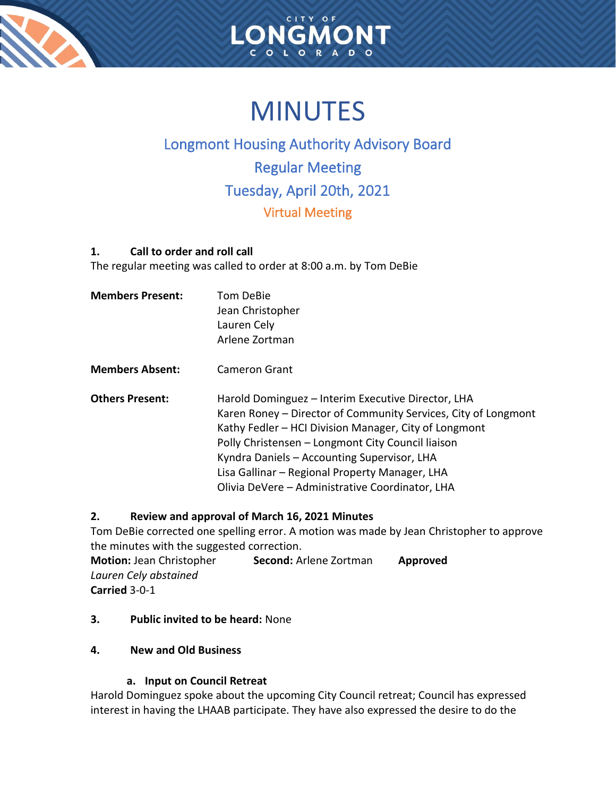



# **MINUTES**

# Longmont Housing Authority Advisory Board Regular Meeting Tuesday, April 20th, 2021 Virtual Meeting

# **1. Call to order and roll call**

The regular meeting was called to order at 8:00 a.m. by Tom DeBie

| <b>Members Present:</b> | Tom DeBie<br>Jean Christopher<br>Lauren Cely<br>Arlene Zortman                                                                                                                                                                                                                                                                                                                         |
|-------------------------|----------------------------------------------------------------------------------------------------------------------------------------------------------------------------------------------------------------------------------------------------------------------------------------------------------------------------------------------------------------------------------------|
| <b>Members Absent:</b>  | Cameron Grant                                                                                                                                                                                                                                                                                                                                                                          |
| <b>Others Present:</b>  | Harold Dominguez – Interim Executive Director, LHA<br>Karen Roney - Director of Community Services, City of Longmont<br>Kathy Fedler – HCI Division Manager, City of Longmont<br>Polly Christensen - Longmont City Council liaison<br>Kyndra Daniels - Accounting Supervisor, LHA<br>Lisa Gallinar - Regional Property Manager, LHA<br>Olivia DeVere - Administrative Coordinator, LHA |

# **2. Review and approval of March 16, 2021 Minutes**

Tom DeBie corrected one spelling error. A motion was made by Jean Christopher to approve the minutes with the suggested correction.

| <b>Motion: Jean Christopher</b> | <b>Second: Arlene Zortman</b> | Approved |
|---------------------------------|-------------------------------|----------|
| Lauren Cely abstained           |                               |          |
| Carried 3-0-1                   |                               |          |

**3. Public invited to be heard:** None

# **4. New and Old Business**

# **a. Input on Council Retreat**

Harold Dominguez spoke about the upcoming City Council retreat; Council has expressed interest in having the LHAAB participate. They have also expressed the desire to do the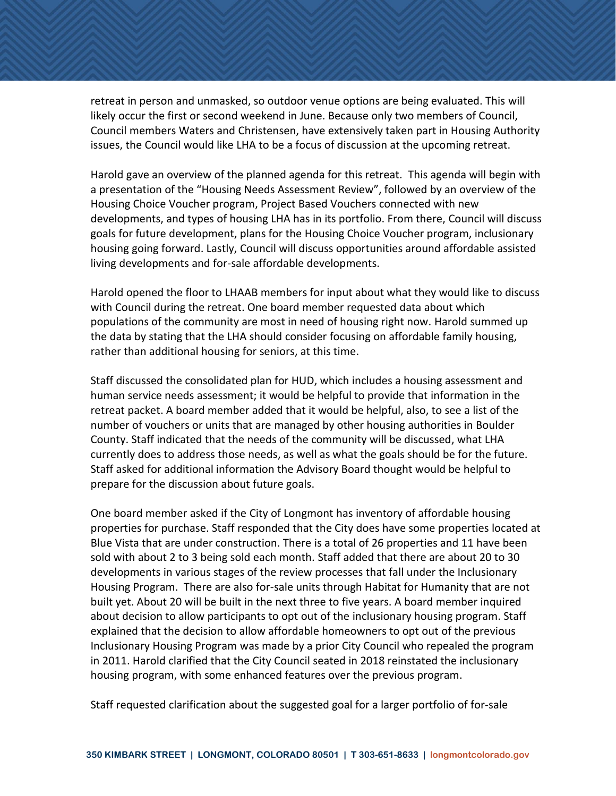retreat in person and unmasked, so outdoor venue options are being evaluated. This will likely occur the first or second weekend in June. Because only two members of Council, Council members Waters and Christensen, have extensively taken part in Housing Authority issues, the Council would like LHA to be a focus of discussion at the upcoming retreat.

Harold gave an overview of the planned agenda for this retreat. This agenda will begin with a presentation of the "Housing Needs Assessment Review", followed by an overview of the Housing Choice Voucher program, Project Based Vouchers connected with new developments, and types of housing LHA has in its portfolio. From there, Council will discuss goals for future development, plans for the Housing Choice Voucher program, inclusionary housing going forward. Lastly, Council will discuss opportunities around affordable assisted living developments and for-sale affordable developments.

Harold opened the floor to LHAAB members for input about what they would like to discuss with Council during the retreat. One board member requested data about which populations of the community are most in need of housing right now. Harold summed up the data by stating that the LHA should consider focusing on affordable family housing, rather than additional housing for seniors, at this time.

Staff discussed the consolidated plan for HUD, which includes a housing assessment and human service needs assessment; it would be helpful to provide that information in the retreat packet. A board member added that it would be helpful, also, to see a list of the number of vouchers or units that are managed by other housing authorities in Boulder County. Staff indicated that the needs of the community will be discussed, what LHA currently does to address those needs, as well as what the goals should be for the future. Staff asked for additional information the Advisory Board thought would be helpful to prepare for the discussion about future goals.

One board member asked if the City of Longmont has inventory of affordable housing properties for purchase. Staff responded that the City does have some properties located at Blue Vista that are under construction. There is a total of 26 properties and 11 have been sold with about 2 to 3 being sold each month. Staff added that there are about 20 to 30 developments in various stages of the review processes that fall under the Inclusionary Housing Program. There are also for-sale units through Habitat for Humanity that are not built yet. About 20 will be built in the next three to five years. A board member inquired about decision to allow participants to opt out of the inclusionary housing program. Staff explained that the decision to allow affordable homeowners to opt out of the previous Inclusionary Housing Program was made by a prior City Council who repealed the program in 2011. Harold clarified that the City Council seated in 2018 reinstated the inclusionary housing program, with some enhanced features over the previous program.

Staff requested clarification about the suggested goal for a larger portfolio of for-sale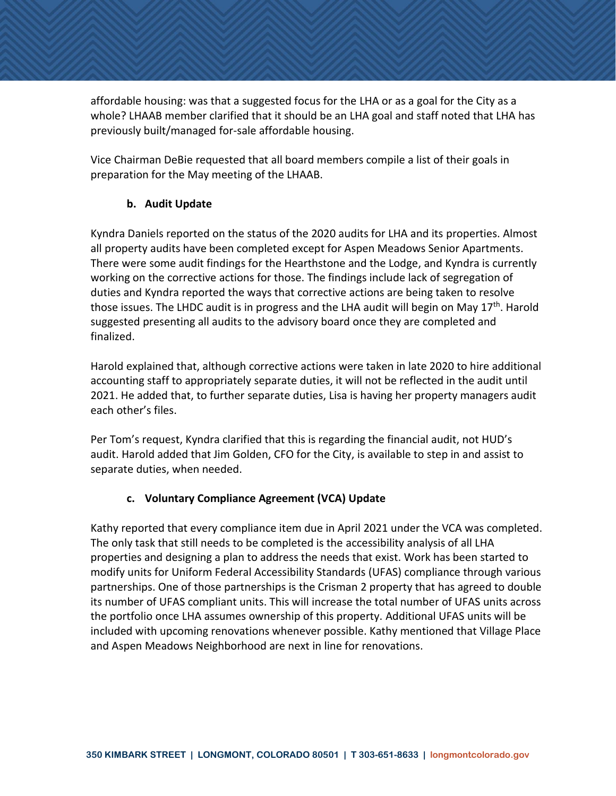affordable housing: was that a suggested focus for the LHA or as a goal for the City as a whole? LHAAB member clarified that it should be an LHA goal and staff noted that LHA has previously built/managed for-sale affordable housing.

Vice Chairman DeBie requested that all board members compile a list of their goals in preparation for the May meeting of the LHAAB.

# **b. Audit Update**

Kyndra Daniels reported on the status of the 2020 audits for LHA and its properties. Almost all property audits have been completed except for Aspen Meadows Senior Apartments. There were some audit findings for the Hearthstone and the Lodge, and Kyndra is currently working on the corrective actions for those. The findings include lack of segregation of duties and Kyndra reported the ways that corrective actions are being taken to resolve those issues. The LHDC audit is in progress and the LHA audit will begin on May  $17<sup>th</sup>$ . Harold suggested presenting all audits to the advisory board once they are completed and finalized.

Harold explained that, although corrective actions were taken in late 2020 to hire additional accounting staff to appropriately separate duties, it will not be reflected in the audit until 2021. He added that, to further separate duties, Lisa is having her property managers audit each other's files.

Per Tom's request, Kyndra clarified that this is regarding the financial audit, not HUD's audit. Harold added that Jim Golden, CFO for the City, is available to step in and assist to separate duties, when needed.

# **c. Voluntary Compliance Agreement (VCA) Update**

Kathy reported that every compliance item due in April 2021 under the VCA was completed. The only task that still needs to be completed is the accessibility analysis of all LHA properties and designing a plan to address the needs that exist. Work has been started to modify units for Uniform Federal Accessibility Standards (UFAS) compliance through various partnerships. One of those partnerships is the Crisman 2 property that has agreed to double its number of UFAS compliant units. This will increase the total number of UFAS units across the portfolio once LHA assumes ownership of this property. Additional UFAS units will be included with upcoming renovations whenever possible. Kathy mentioned that Village Place and Aspen Meadows Neighborhood are next in line for renovations.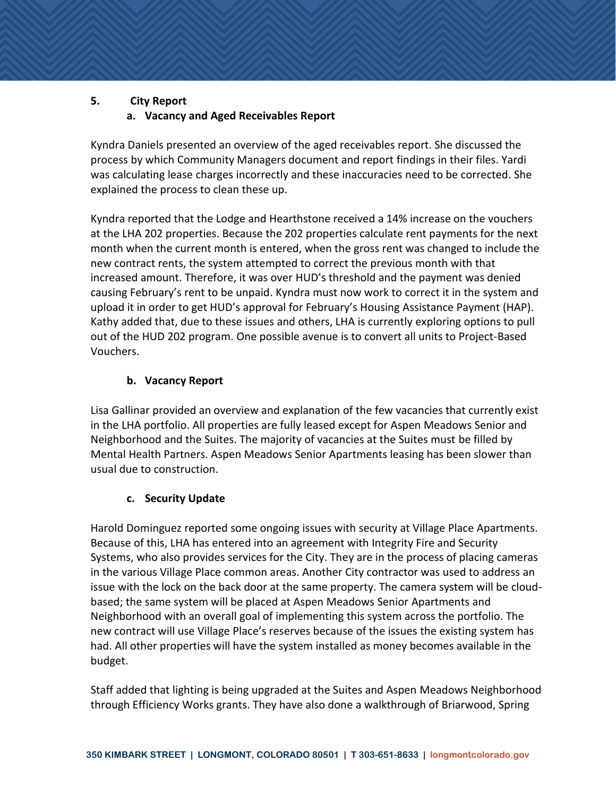#### **5. City Report**

## **a. Vacancy and Aged Receivables Report**

Kyndra Daniels presented an overview of the aged receivables report. She discussed the process by which Community Managers document and report findings in their files. Yardi was calculating lease charges incorrectly and these inaccuracies need to be corrected. She explained the process to clean these up.

Kyndra reported that the Lodge and Hearthstone received a 14% increase on the vouchers at the LHA 202 properties. Because the 202 properties calculate rent payments for the next month when the current month is entered, when the gross rent was changed to include the new contract rents, the system attempted to correct the previous month with that increased amount. Therefore, it was over HUD's threshold and the payment was denied causing February's rent to be unpaid. Kyndra must now work to correct it in the system and upload it in order to get HUD's approval for February's Housing Assistance Payment (HAP). Kathy added that, due to these issues and others, LHA is currently exploring options to pull out of the HUD 202 program. One possible avenue is to convert all units to Project-Based Vouchers.

#### **b. Vacancy Report**

Lisa Gallinar provided an overview and explanation of the few vacancies that currently exist in the LHA portfolio. All properties are fully leased except for Aspen Meadows Senior and Neighborhood and the Suites. The majority of vacancies at the Suites must be filled by Mental Health Partners. Aspen Meadows Senior Apartments leasing has been slower than usual due to construction.

#### **c. Security Update**

Harold Dominguez reported some ongoing issues with security at Village Place Apartments. Because of this, LHA has entered into an agreement with Integrity Fire and Security Systems, who also provides services for the City. They are in the process of placing cameras in the various Village Place common areas. Another City contractor was used to address an issue with the lock on the back door at the same property. The camera system will be cloudbased; the same system will be placed at Aspen Meadows Senior Apartments and Neighborhood with an overall goal of implementing this system across the portfolio. The new contract will use Village Place's reserves because of the issues the existing system has had. All other properties will have the system installed as money becomes available in the budget.

Staff added that lighting is being upgraded at the Suites and Aspen Meadows Neighborhood through Efficiency Works grants. They have also done a walkthrough of Briarwood, Spring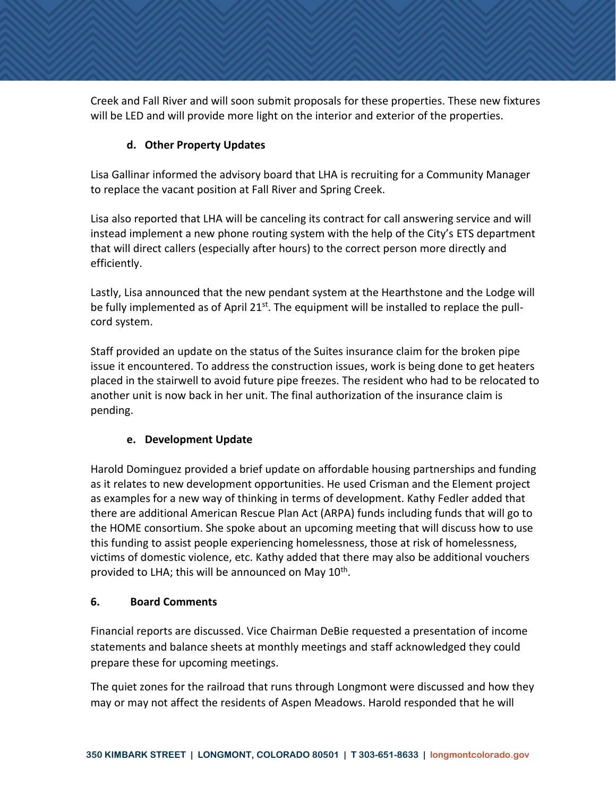Creek and Fall River and will soon submit proposals for these properties. These new fixtures will be LED and will provide more light on the interior and exterior of the properties.

## **d. Other Property Updates**

Lisa Gallinar informed the advisory board that LHA is recruiting for a Community Manager to replace the vacant position at Fall River and Spring Creek.

Lisa also reported that LHA will be canceling its contract for call answering service and will instead implement a new phone routing system with the help of the City's ETS department that will direct callers (especially after hours) to the correct person more directly and efficiently.

Lastly, Lisa announced that the new pendant system at the Hearthstone and the Lodge will be fully implemented as of April 21<sup>st</sup>. The equipment will be installed to replace the pullcord system.

Staff provided an update on the status of the Suites insurance claim for the broken pipe issue it encountered. To address the construction issues, work is being done to get heaters placed in the stairwell to avoid future pipe freezes. The resident who had to be relocated to another unit is now back in her unit. The final authorization of the insurance claim is pending.

# **e. Development Update**

Harold Dominguez provided a brief update on affordable housing partnerships and funding as it relates to new development opportunities. He used Crisman and the Element project as examples for a new way of thinking in terms of development. Kathy Fedler added that there are additional American Rescue Plan Act (ARPA) funds including funds that will go to the HOME consortium. She spoke about an upcoming meeting that will discuss how to use this funding to assist people experiencing homelessness, those at risk of homelessness, victims of domestic violence, etc. Kathy added that there may also be additional vouchers provided to LHA; this will be announced on May  $10^{\text{th}}$ .

#### **6. Board Comments**

Financial reports are discussed. Vice Chairman DeBie requested a presentation of income statements and balance sheets at monthly meetings and staff acknowledged they could prepare these for upcoming meetings.

The quiet zones for the railroad that runs through Longmont were discussed and how they may or may not affect the residents of Aspen Meadows. Harold responded that he will